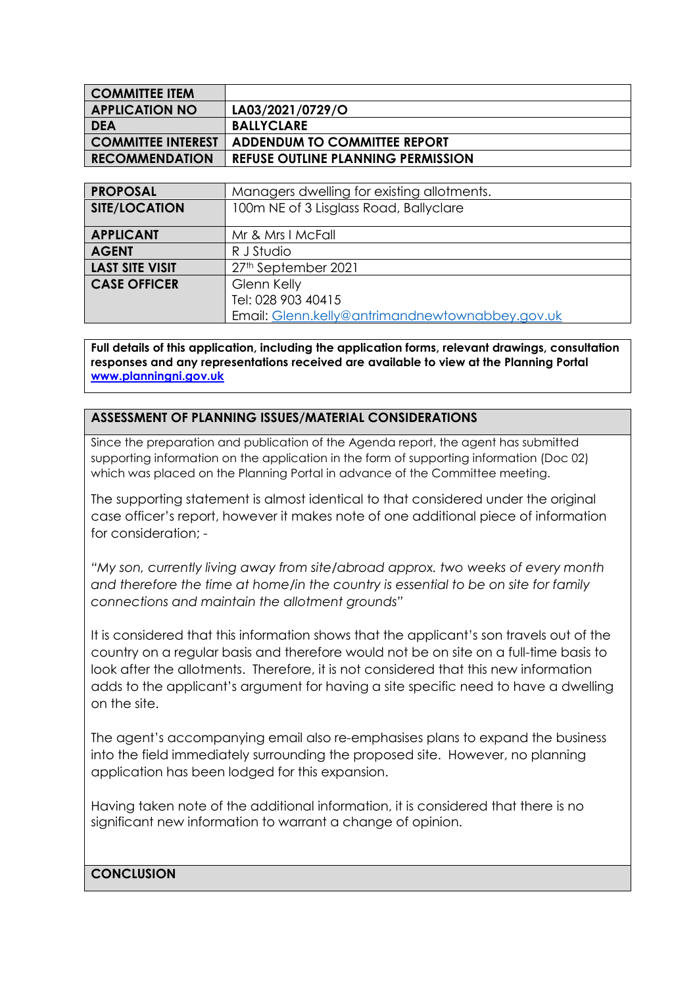| <b>COMMITTEE ITEM</b>     |                                           |
|---------------------------|-------------------------------------------|
| <b>APPLICATION NO</b>     | LA03/2021/0729/O                          |
| <b>DEA</b>                | <b>BALLYCLARE</b>                         |
| <b>COMMITTEE INTEREST</b> | <b>ADDENDUM TO COMMITTEE REPORT</b>       |
| <b>RECOMMENDATION</b>     | <b>REFUSE OUTLINE PLANNING PERMISSION</b> |

| <b>PROPOSAL</b>        | Managers dwelling for existing allotments.      |
|------------------------|-------------------------------------------------|
| <b>SITE/LOCATION</b>   | 100m NE of 3 Lisglass Road, Ballyclare          |
| <b>APPLICANT</b>       | Mr & Mrs I McFall                               |
| <b>AGENT</b>           | R J Studio                                      |
| <b>LAST SITE VISIT</b> | 27th September 2021                             |
| <b>CASE OFFICER</b>    | Glenn Kelly                                     |
|                        | Tel: 028 903 40415                              |
|                        | Email: Glenn.kelly@antrimandnewtownabbey.gov.uk |

**Full details of this application, including the application forms, relevant drawings, consultation responses and any representations received are available to view at the Planning Portal www.planningni.gov.uk**

## **ASSESSMENT OF PLANNING ISSUES/MATERIAL CONSIDERATIONS**

Since the preparation and publication of the Agenda report, the agent has submitted supporting information on the application in the form of supporting information (Doc 02) which was placed on the Planning Portal in advance of the Committee meeting.

The supporting statement is almost identical to that considered under the original case officer's report, however it makes note of one additional piece of information for consideration; -

*"My son, currently living away from site/abroad approx. two weeks of every month and therefore the time at home/in the country is essential to be on site for family connections and maintain the allotment grounds"*

It is considered that this information shows that the applicant's son travels out of the country on a regular basis and therefore would not be on site on a full-time basis to look after the allotments. Therefore, it is not considered that this new information adds to the applicant's argument for having a site specific need to have a dwelling on the site.

The agent's accompanying email also re-emphasises plans to expand the business into the field immediately surrounding the proposed site. However, no planning application has been lodged for this expansion.

Having taken note of the additional information, it is considered that there is no significant new information to warrant a change of opinion.

## **CONCLUSION**